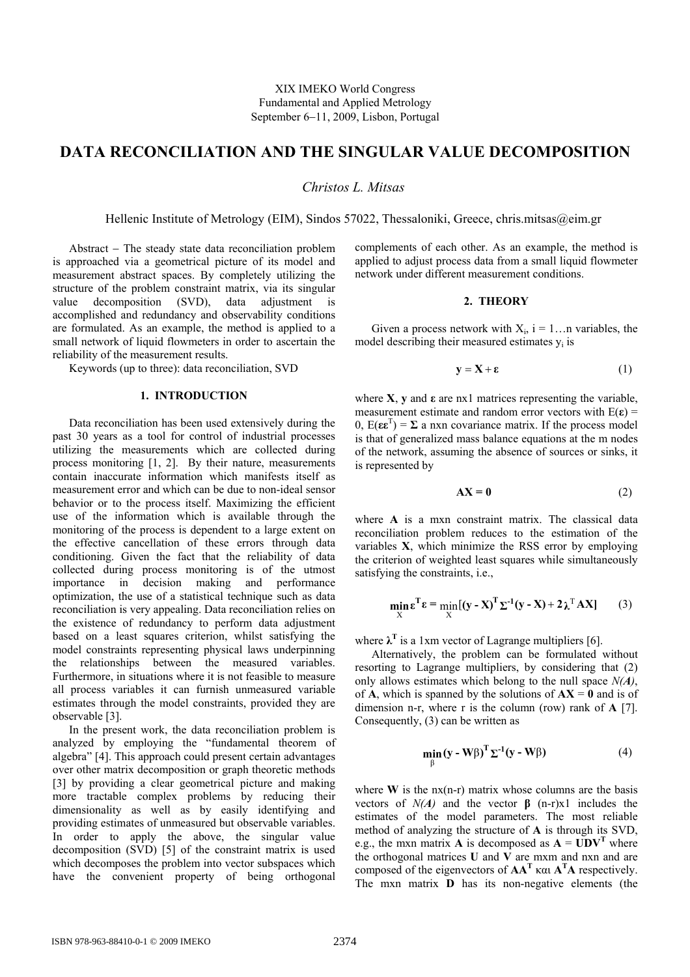# **DATA RECONCILIATION AND THE SINGULAR VALUE DECOMPOSITION**

*Christos L. Mitsas* 

Hellenic Institute of Metrology (ΕΙΜ), Sindos 57022, Thessaloniki, Greece, chris.mitsas@eim.gr

Abstract − The steady state data reconciliation problem is approached via a geometrical picture of its model and measurement abstract spaces. By completely utilizing the structure of the problem constraint matrix, via its singular value decomposition (SVD), data adjustment is accomplished and redundancy and observability conditions are formulated. As an example, the method is applied to a small network of liquid flowmeters in order to ascertain the reliability of the measurement results.

Keywords (up to three): data reconciliation, SVD

## **1. INTRODUCTION**

Data reconciliation has been used extensively during the past 30 years as a tool for control of industrial processes utilizing the measurements which are collected during process monitoring [1, 2]. By their nature, measurements contain inaccurate information which manifests itself as measurement error and which can be due to non-ideal sensor behavior or to the process itself. Maximizing the efficient use of the information which is available through the monitoring of the process is dependent to a large extent on the effective cancellation of these errors through data conditioning. Given the fact that the reliability of data collected during process monitoring is of the utmost importance in decision making and performance optimization, the use of a statistical technique such as data reconciliation is very appealing. Data reconciliation relies on the existence of redundancy to perform data adjustment based on a least squares criterion, whilst satisfying the model constraints representing physical laws underpinning the relationships between the measured variables. Furthermore, in situations where it is not feasible to measure all process variables it can furnish unmeasured variable estimates through the model constraints, provided they are observable [3].

In the present work, the data reconciliation problem is analyzed by employing the "fundamental theorem of algebra" [4]. This approach could present certain advantages over other matrix decomposition or graph theoretic methods [3] by providing a clear geometrical picture and making more tractable complex problems by reducing their dimensionality as well as by easily identifying and providing estimates of unmeasured but observable variables. In order to apply the above, the singular value decomposition (SVD) [5] of the constraint matrix is used which decomposes the problem into vector subspaces which have the convenient property of being orthogonal

complements of each other. As an example, the method is applied to adjust process data from a small liquid flowmeter network under different measurement conditions.

# **2. THEORY**

Given a process network with  $X_i$ ,  $i = 1...n$  variables, the model describing their measured estimates  $y_i$  is

$$
y = X + \varepsilon \tag{1}
$$

where  $X$ ,  $y$  and  $\varepsilon$  are nx1 matrices representing the variable, measurement estimate and random error vectors with  $E(\varepsilon)$  =  $0, E(\epsilon \epsilon^T) = \Sigma$  a nxn covariance matrix. If the process model is that of generalized mass balance equations at the m nodes of the network, assuming the absence of sources or sinks, it is represented by

$$
AX = 0 \tag{2}
$$

where **A** is a mxn constraint matrix. The classical data reconciliation problem reduces to the estimation of the variables **Χ**, which minimize the RSS error by employing the criterion of weighted least squares while simultaneously satisfying the constraints, i.e.,

$$
\min_{X} \varepsilon^{T} \varepsilon = \min_{X} [(y - X)^{T} \Sigma^{-1} (y - X) + 2 \lambda^{T} A X]
$$
 (3)

where  $\lambda^T$  is a 1xm vector of Lagrange multipliers [6].

Alternatively, the problem can be formulated without resorting to Lagrange multipliers, by considering that (2) only allows estimates which belong to the null space *N(A)*, of **A**, which is spanned by the solutions of  $AX = 0$  and is of dimension n-r, where r is the column (row) rank of **A** [7]. Consequently, (3) can be written as

$$
\min_{\beta} (\mathbf{y} - \mathbf{W}\beta)^{\mathrm{T}} \Sigma^{-1} (\mathbf{y} - \mathbf{W}\beta)
$$
 (4)

where  $W$  is the  $nx(n-r)$  matrix whose columns are the basis vectors of  $N(A)$  and the vector  $\beta$  (n-r)x1 includes the estimates of the model parameters. The most reliable method of analyzing the structure of **Α** is through its SVD, e.g., the mxn matrix **A** is decomposed as  $A = UDV^T$  where the orthogonal matrices  $U$  and  $\overrightarrow{V}$  are mxm and nxn and are composed of the eigenvectors of  $AA<sup>T</sup>$  και  $A<sup>T</sup>A$  respectively. The mxn matrix **D** has its non-negative elements (the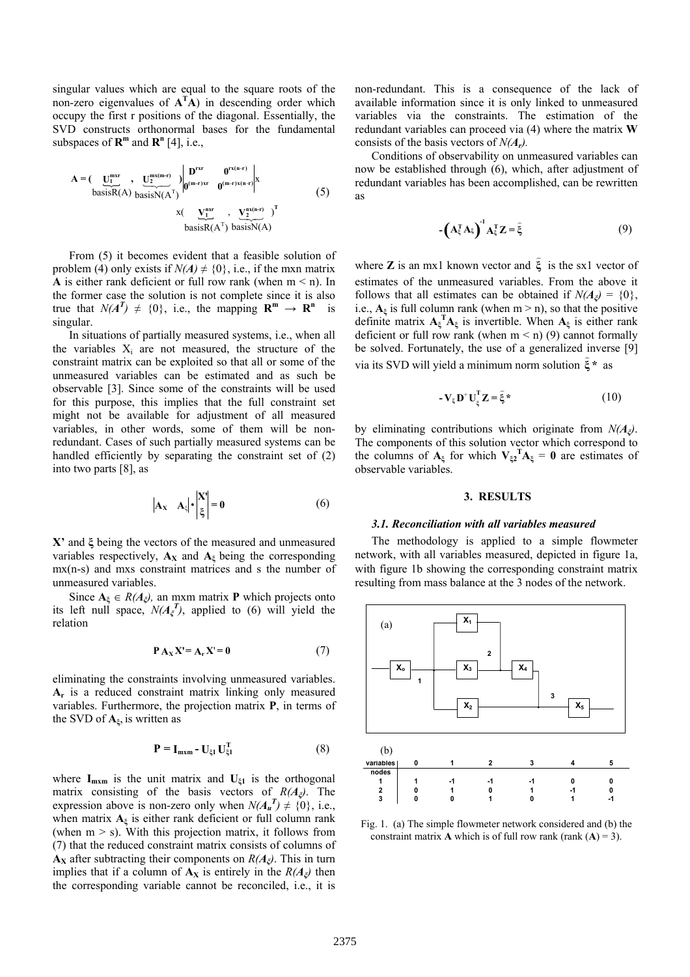singular values which are equal to the square roots of the non-zero eigenvalues of  $A^T A$ ) in descending order which occupy the first r positions of the diagonal. Essentially, the SVD constructs orthonormal bases for the fundamental subspaces of  $\mathbb{R}^m$  and  $\mathbb{R}^n$  [4], i.e.,

$$
A = \left(\underbrace{U_1^{\text{max}}}_{\text{basisR}(A)} , \underbrace{U_2^{\text{max}(m-r)}}_{\text{basisN}(A^T)}\right) \begin{vmatrix} D^{\text{rx}} & 0^{\text{rx}(n-r)} \\ 0^{(m-r)xr} & 0^{(m-r)x(n-r)} \end{vmatrix}^X \tag{5}
$$
\n
$$
x \left(\underbrace{V_1^{\text{max}}}_{\text{basisR}(A^T)} , \underbrace{V_2^{\text{ax}(n-r)}}_{\text{basisN}(A)} \right)^T
$$

From (5) it becomes evident that a feasible solution of problem (4) only exists if  $N(A) \neq \{0\}$ , i.e., if the mxn matrix **A** is either rank deficient or full row rank (when  $m < n$ ). In the former case the solution is not complete since it is also true that  $N(A^T) \neq \{0\}$ , i.e., the mapping  $\mathbb{R}^m \to \mathbb{R}^n$  is singular.

In situations of partially measured systems, i.e., when all the variables  $X_i$  are not measured, the structure of the constraint matrix can be exploited so that all or some of the unmeasured variables can be estimated and as such be observable [3]. Since some of the constraints will be used for this purpose, this implies that the full constraint set might not be available for adjustment of all measured variables, in other words, some of them will be nonredundant. Cases of such partially measured systems can be handled efficiently by separating the constraint set of (2) into two parts [8], as

$$
\left|\mathbf{A}_{\mathbf{X}} \quad \mathbf{A}_{\xi}\right| \cdot \begin{vmatrix} \mathbf{X}^{\mathsf{H}} \\ \xi \end{vmatrix} = \mathbf{0} \tag{6}
$$

**X'** and **ξ** being the vectors of the measured and unmeasured variables respectively,  $A_X$  and  $A_\xi$  being the corresponding mx(n-s) and mxs constraint matrices and s the number of unmeasured variables.

Since  $A_{\xi} \in R(A_{\xi})$ , an mxm matrix **P** which projects onto its left null space,  $N(A_\xi^T)$ , applied to (6) will yield the relation

$$
P A_X X' = A_r X' = 0 \tag{7}
$$

eliminating the constraints involving unmeasured variables. **Αr** is a reduced constraint matrix linking only measured variables. Furthermore, the projection matrix **P**, in terms of the SVD of **Aξ**, is written as

$$
\mathbf{P} = \mathbf{I}_{\text{mxm}} - \mathbf{U}_{\xi1} \mathbf{U}_{\xi1}^{\text{T}}
$$
 (8)

where  $I_{m \times m}$  is the unit matrix and  $U_{\xi_1}$  is the orthogonal matrix consisting of the basis vectors of *R(Aξ)*. The expression above is non-zero only when  $N(A_{\mathbf{u}}^T) \neq \{0\}$ , i.e., when matrix  $A_{\xi}$  is either rank deficient or full column rank (when  $m > s$ ). With this projection matrix, it follows from (7) that the reduced constraint matrix consists of columns of **A<sub>X</sub>** after subtracting their components on  $R(A_{\xi})$ . This in turn implies that if a column of  $A_X$  is entirely in the  $R(A_{\zeta})$  then the corresponding variable cannot be reconciled, i.e., it is

non-redundant. This is a consequence of the lack of available information since it is only linked to unmeasured variables via the constraints. The estimation of the redundant variables can proceed via (4) where the matrix **W** consists of the basis vectors of *N(Ar).*

Conditions of observability on unmeasured variables can now be established through (6), which, after adjustment of redundant variables has been accomplished, can be rewritten as

$$
-{\left(A_{\xi}^{T} A_{\xi}\right)}^{1} A_{\xi}^{T} Z = \hat{\xi}
$$
 (9)

where **Z** is an mx1 known vector and  $\hat{\xi}$  is the sx1 vector of estimates of the unmeasured variables. From the above it follows that all estimates can be obtained if  $N(A_{\xi}) = \{0\}$ , i.e.,  $A_{\xi}$  is full column rank (when m > n), so that the positive definite matrix  $A_{\xi}^{T}A_{\xi}$  is invertible. When  $A_{\xi}$  is either rank deficient or full row rank (when  $m < n$ ) (9) cannot formally be solved. Fortunately, the use of a generalized inverse [9] via its SVD will yield a minimum norm solution **ξ \*** ) as

$$
-V_{\xi}D^{+}U_{\xi}^{T}Z = \hat{\xi}^{*}
$$
 (10)

by eliminating contributions which originate from *N(Aξ)*. The components of this solution vector which correspond to the columns of  $A_{\xi}$  for which  $V_{\xi}^{T}A_{\xi} = 0$  are estimates of observable variables.

#### **3. RESULTS**

#### *3.1. Reconciliation with all variables measured*

The methodology is applied to a simple flowmeter network, with all variables measured, depicted in figure 1a, with figure 1b showing the corresponding constraint matrix resulting from mass balance at the 3 nodes of the network.



Fig. 1. (a) The simple flowmeter network considered and (b) the constraint matrix **A** which is of full row rank (rank  $(A) = 3$ ).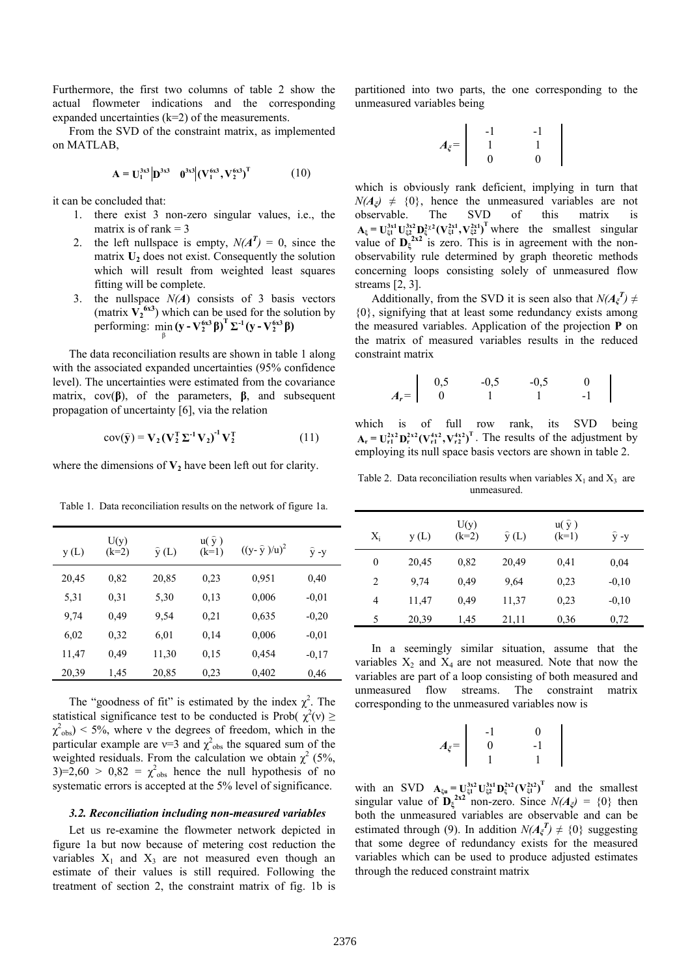Furthermore, the first two columns of table 2 show the actual flowmeter indications and the corresponding expanded uncertainties  $(k=2)$  of the measurements.

From the SVD of the constraint matrix, as implemented on MATLAB,

$$
\mathbf{A} = \mathbf{U}_1^{3x3} | \mathbf{D}^{3x3} \quad \mathbf{0}^{3x3} | (\mathbf{V}_1^{6x3}, \mathbf{V}_2^{6x3})^{\mathrm{T}}
$$
(10)

it can be concluded that:

- 1. there exist 3 non-zero singular values, i.e., the matrix is of rank  $= 3$
- 2. the left nullspace is empty,  $N(A^T) = 0$ , since the matrix  $U_2$  does not exist. Consequently the solution which will result from weighted least squares fitting will be complete.
- 3. the nullspace *N(A*) consists of 3 basis vectors (matrix  $V_2$ <sup>6x3</sup>) which can be used for the solution by  $\operatorname{performing:}$   $\min_{\beta} (\mathbf{y} - \mathbf{V}_2^{6x3} \beta)^{\mathrm{T}} \Sigma^{-1} (\mathbf{y} - \mathbf{V}_2^{6x3} \beta)$

The data reconciliation results are shown in table 1 along with the associated expanded uncertainties (95% confidence level). The uncertainties were estimated from the covariance matrix, cov(**β**), of the parameters, **β**, and subsequent propagation of uncertainty [6], via the relation

$$
cov(\hat{\mathbf{y}}) = \mathbf{V}_2 (\mathbf{V}_2^{\mathrm{T}} \Sigma^{-1} \mathbf{V}_2)^{-1} \mathbf{V}_2^{\mathrm{T}}
$$
 (11)

where the dimensions of  $V_2$  have been left out for clarity.

Table 1. Data reconciliation results on the network of figure 1a.

| y(L)  | U(y)<br>$(k=2)$ | $\hat{y}(L)$ | $u(\hat{y})$<br>$(k=1)$ | $((y - \hat{y})/u)^2$ | $y - y$ |
|-------|-----------------|--------------|-------------------------|-----------------------|---------|
| 20,45 | 0.82            | 20,85        | 0.23                    | 0.951                 | 0,40    |
| 5,31  | 0.31            | 5,30         | 0.13                    | 0,006                 | $-0.01$ |
| 9,74  | 0.49            | 9.54         | 0.21                    | 0.635                 | $-0.20$ |
| 6,02  | 0.32            | 6,01         | 0,14                    | 0,006                 | $-0.01$ |
| 11,47 | 0.49            | 11,30        | 0.15                    | 0,454                 | $-0.17$ |
| 20,39 | 1,45            | 20,85        | 0.23                    | 0,402                 | 0.46    |

The "goodness of fit" is estimated by the index  $\chi^2$ . The statistical significance test to be conducted is Prob( $\chi^2(v) \ge$  $\chi^2$ <sub>obs</sub>) < 5%, where v the degrees of freedom, which in the particular example are  $v=3$  and  $\chi^2$ <sub>obs</sub> the squared sum of the weighted residuals. From the calculation we obtain  $\chi^2$  (5%,  $3=2,60 > 0,82 = \chi^2$ <sub>obs</sub> hence the null hypothesis of no systematic errors is accepted at the 5% level of significance.

#### *3.2. Reconciliation including non-measured variables*

Let us re-examine the flowmeter network depicted in figure 1a but now because of metering cost reduction the variables  $X_1$  and  $X_3$  are not measured even though an estimate of their values is still required. Following the treatment of section 2, the constraint matrix of fig. 1b is partitioned into two parts, the one corresponding to the unmeasured variables being

$$
A_{\xi} = \begin{vmatrix} -1 & -1 & -1 \\ 1 & 1 & 1 \\ 0 & 0 & 0 \end{vmatrix}
$$

which is obviously rank deficient, implying in turn that  $N(A_{\xi}) \neq \{0\}$ , hence the unmeasured variables are not observable. The SVD of this matrix is  $A_{\xi} = U_{\xi 1}^{3x1} U_{\xi 2}^{3x2} D_{\xi}^{2x2} (V_{\xi 1}^{2x1}, V_{\xi 2}^{2x1})^{T}$  where the smallest singular value of  $\mathbf{D}_{\xi}^{2\times 2}$  is zero. This is in agreement with the nonobservability rule determined by graph theoretic methods concerning loops consisting solely of unmeasured flow streams [2, 3].

Additionally, from the SVD it is seen also that  $N(A_{\xi}^{T}) \neq$ {0}, signifying that at least some redundancy exists among the measured variables. Application of the projection **P** on the matrix of measured variables results in the reduced constraint matrix

$$
A_r = \begin{bmatrix} 0.5 & -0.5 & -0.5 & 0 \\ 0 & 1 & 1 & -1 \end{bmatrix}
$$

which is of full row rank, its SVD being  $\mathbf{A}_r = \mathbf{U}_{r1}^{2x^2} \mathbf{D}_r^{2x^2} (\mathbf{V}_{r1}^{4x^2}, \mathbf{V}_{r2}^{4x^2})^T$ . The results of the adjustment by employing its null space basis vectors are shown in table 2.

Table 2. Data reconciliation results when variables  $X_1$  and  $X_3$  are unmeasured.

| $X_i$        | y(L)  | U(y)<br>$(k=2)$ | $\hat{y}(L)$ | $u(\hat{y})$<br>$(k=1)$ | $\hat{y}$ -y |
|--------------|-------|-----------------|--------------|-------------------------|--------------|
| $\mathbf{0}$ | 20,45 | 0,82            | 20,49        | 0,41                    | 0,04         |
| 2            | 9.74  | 0.49            | 9.64         | 0.23                    | $-0,10$      |
| 4            | 11,47 | 0.49            | 11,37        | 0.23                    | $-0,10$      |
| 5            | 20,39 | 1.45            | 21,11        | 0,36                    | 0,72         |

In a seemingly similar situation, assume that the variables  $X_2$  and  $X_4$  are not measured. Note that now the variables are part of a loop consisting of both measured and unmeasured flow streams. The constraint matrix corresponding to the unmeasured variables now is

|             | Ξ. | $\Omega$ |
|-------------|----|----------|
| $A_{\xi}$ = | 0  | - 1      |
|             |    |          |

with an SVD  $A_{\xi u} = U_{\xi 1}^{3x^2} U_{\xi 2}^{3x^2} (V_{\xi 1}^{2x^2})^T$  and the smallest singular value of  $\mathbf{D}_{\xi}^{2\times 2}$  non-zero. Since  $N(A_{\xi}) = \{0\}$  then both the unmeasured variables are observable and can be estimated through (9). In addition  $N(A_{\xi}^{T}) \neq \{0\}$  suggesting that some degree of redundancy exists for the measured variables which can be used to produce adjusted estimates through the reduced constraint matrix